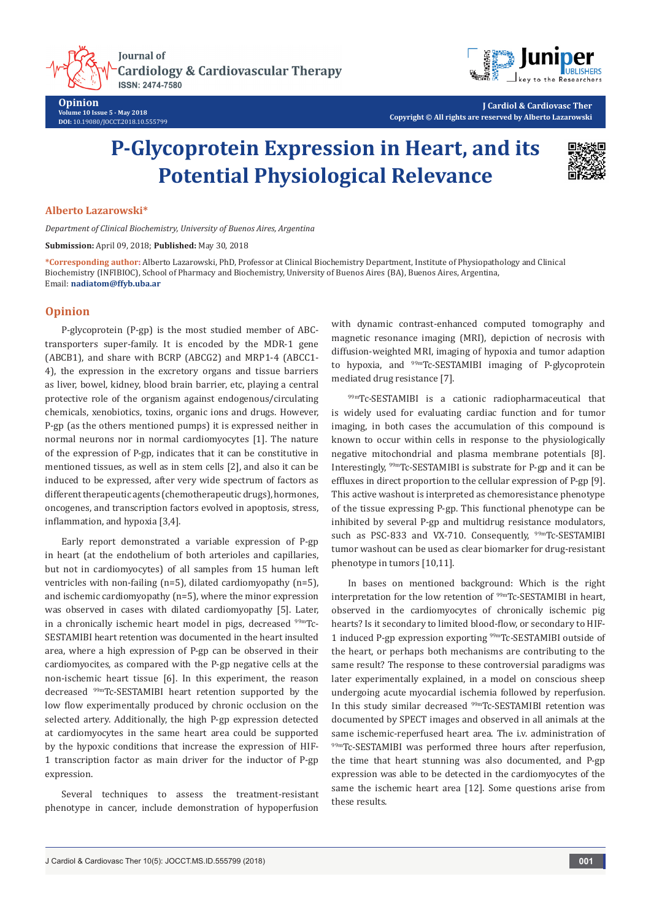**Journal of Cardiology & Cardiovascular Therapy ISSN: 2474-7580** 



**J Cardiol & Cardiovasc Ther Copyright © All rights are reserved by Alberto Lazarowski**

# **P-Glycoprotein Expression in Heart, and its Potential Physiological Relevance**



#### **Alberto Lazarowski\***

**Opinion**

**Volume 10 Issue 5 - May 2018 DOI:** [10.19080/JOCCT.2018.10.555799](http://dx.doi.org/10.19080/JOCCT.2018.10.555799)

*Department of Clinical Biochemistry, University of Buenos Aires, Argentina*

**Submission:** April 09, 2018; **Published:** May 30, 2018

**\*Corresponding author:** Alberto Lazarowski, PhD, Professor at Clinical Biochemistry Department, Institute of Physiopathology and Clinical Biochemistry (INFIBIOC), School of Pharmacy and Biochemistry, University of Buenos Aires (BA), Buenos Aires, Argentina, Email: **nadiatom@ffyb.uba.ar** 

### **Opinion**

P-glycoprotein (P-gp) is the most studied member of ABCtransporters super-family. It is encoded by the MDR-1 gene (ABCB1), and share with BCRP (ABCG2) and MRP1-4 (ABCC1- 4), the expression in the excretory organs and tissue barriers as liver, bowel, kidney, blood brain barrier, etc, playing a central protective role of the organism against endogenous/circulating chemicals, xenobiotics, toxins, organic ions and drugs. However, P-gp (as the others mentioned pumps) it is expressed neither in normal neurons nor in normal cardiomyocytes [1]. The nature of the expression of P-gp, indicates that it can be constitutive in mentioned tissues, as well as in stem cells [2], and also it can be induced to be expressed, after very wide spectrum of factors as different therapeutic agents (chemotherapeutic drugs), hormones, oncogenes, and transcription factors evolved in apoptosis, stress, inflammation, and hypoxia [3,4].

Early report demonstrated a variable expression of P-gp in heart (at the endothelium of both arterioles and capillaries, but not in cardiomyocytes) of all samples from 15 human left ventricles with non-failing (n=5), dilated cardiomyopathy (n=5), and ischemic cardiomyopathy (n=5), where the minor expression was observed in cases with dilated cardiomyopathy [5]. Later, in a chronically ischemic heart model in pigs, decreased <sup>99m</sup>Tc-SESTAMIBI heart retention was documented in the heart insulted area, where a high expression of P-gp can be observed in their cardiomyocites, as compared with the P-gp negative cells at the non-ischemic heart tissue [6]. In this experiment, the reason decreased 99mTc-SESTAMIBI heart retention supported by the low flow experimentally produced by chronic occlusion on the selected artery. Additionally, the high P-gp expression detected at cardiomyocytes in the same heart area could be supported by the hypoxic conditions that increase the expression of HIF-1 transcription factor as main driver for the inductor of P-gp expression.

Several techniques to assess the treatment-resistant phenotype in cancer, include demonstration of hypoperfusion

with dynamic contrast-enhanced computed tomography and magnetic resonance imaging (MRI), depiction of necrosis with diffusion-weighted MRI, imaging of hypoxia and tumor adaption to hypoxia, and <sup>99m</sup>Tc-SESTAMIBI imaging of P-glycoprotein mediated drug resistance [7].

99mTc-SESTAMIBI is a cationic radiopharmaceutical that is widely used for evaluating cardiac function and for tumor imaging, in both cases the accumulation of this compound is known to occur within cells in response to the physiologically negative mitochondrial and plasma membrane potentials [8]. Interestingly, 99mTc-SESTAMIBI is substrate for P-gp and it can be effluxes in direct proportion to the cellular expression of P-gp [9]. This active washout is interpreted as chemoresistance phenotype of the tissue expressing P-gp. This functional phenotype can be inhibited by several P-gp and multidrug resistance modulators, such as PSC-833 and VX-710. Consequently, <sup>99mT</sup>C-SESTAMIBI tumor washout can be used as clear biomarker for drug-resistant phenotype in tumors [10,11].

In bases on mentioned background: Which is the right interpretation for the low retention of <sup>99m</sup>Tc-SESTAMIBI in heart, observed in the cardiomyocytes of chronically ischemic pig hearts? Is it secondary to limited blood-flow, or secondary to HIF-1 induced P-gp expression exporting 99mTc-SESTAMIBI outside of the heart, or perhaps both mechanisms are contributing to the same result? The response to these controversial paradigms was later experimentally explained, in a model on conscious sheep undergoing acute myocardial ischemia followed by reperfusion. In this study similar decreased <sup>99m</sup>Tc-SESTAMIBI retention was documented by SPECT images and observed in all animals at the same ischemic-reperfused heart area. The i.v. administration of 99mTc-SESTAMIBI was performed three hours after reperfusion, the time that heart stunning was also documented, and P-gp expression was able to be detected in the cardiomyocytes of the same the ischemic heart area [12]. Some questions arise from these results.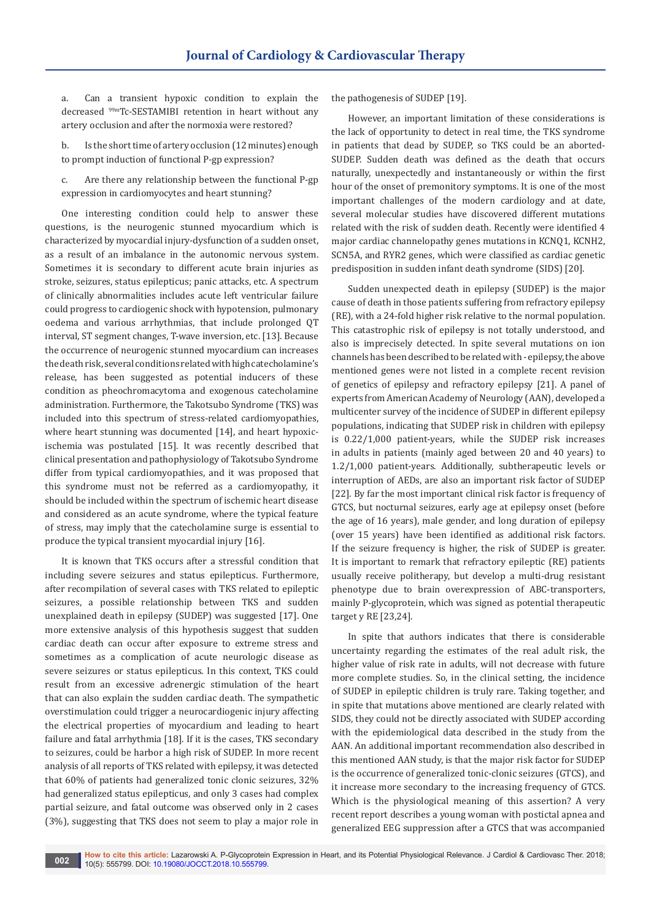a. Can a transient hypoxic condition to explain the decreased 99mTc-SESTAMIBI retention in heart without any artery occlusion and after the normoxia were restored?

b. Is the short time of artery occlusion (12 minutes) enough to prompt induction of functional P-gp expression?

c. Are there any relationship between the functional P-gp expression in cardiomyocytes and heart stunning?

One interesting condition could help to answer these questions, is the neurogenic stunned myocardium which is characterized by myocardial injury-dysfunction of a sudden onset, as a result of an imbalance in the autonomic nervous system. Sometimes it is secondary to different acute brain injuries as stroke, seizures, status epilepticus; panic attacks, etc. A spectrum of clinically abnormalities includes acute left ventricular failure could progress to cardiogenic shock with hypotension, pulmonary oedema and various arrhythmias, that include prolonged QT interval, ST segment changes, T-wave inversion, etc. [13]. Because the occurrence of neurogenic stunned myocardium can increases the death risk, several conditions related with high catecholamine's release, has been suggested as potential inducers of these condition as pheochromacytoma and exogenous catecholamine administration. Furthermore, the Takotsubo Syndrome (TKS) was included into this spectrum of stress-related cardiomyopathies, where heart stunning was documented [14], and heart hypoxicischemia was postulated [15]. It was recently described that clinical presentation and pathophysiology of Takotsubo Syndrome differ from typical cardiomyopathies, and it was proposed that this syndrome must not be referred as a cardiomyopathy, it should be included within the spectrum of ischemic heart disease and considered as an acute syndrome, where the typical feature of stress, may imply that the catecholamine surge is essential to produce the typical transient myocardial injury [16].

It is known that TKS occurs after a stressful condition that including severe seizures and status epilepticus. Furthermore, after recompilation of several cases with TKS related to epileptic seizures, a possible relationship between TKS and sudden unexplained death in epilepsy (SUDEP) was suggested [17]. One more extensive analysis of this hypothesis suggest that sudden cardiac death can occur after exposure to extreme stress and sometimes as a complication of acute neurologic disease as severe seizures or status epilepticus. In this context, TKS could result from an excessive adrenergic stimulation of the heart that can also explain the sudden cardiac death. The sympathetic overstimulation could trigger a neurocardiogenic injury affecting the electrical properties of myocardium and leading to heart failure and fatal arrhythmia [18]. If it is the cases, TKS secondary to seizures, could be harbor a high risk of SUDEP. In more recent analysis of all reports of TKS related with epilepsy, it was detected that 60% of patients had generalized tonic clonic seizures, 32% had generalized status epilepticus, and only 3 cases had complex partial seizure, and fatal outcome was observed only in 2 cases (3%), suggesting that TKS does not seem to play a major role in

the pathogenesis of SUDEP [19].

However, an important limitation of these considerations is the lack of opportunity to detect in real time, the TKS syndrome in patients that dead by SUDEP, so TKS could be an aborted-SUDEP. Sudden death was defined as the death that occurs naturally, unexpectedly and instantaneously or within the first hour of the onset of premonitory symptoms. It is one of the most important challenges of the modern cardiology and at date, several molecular studies have discovered different mutations related with the risk of sudden death. Recently were identified 4 major cardiac channelopathy genes mutations in KCNQ1, KCNH2, SCN5A, and RYR2 genes, which were classified as cardiac genetic predisposition in sudden infant death syndrome (SIDS) [20].

Sudden unexpected death in epilepsy (SUDEP) is the major cause of death in those patients suffering from refractory epilepsy (RE), with a 24-fold higher risk relative to the normal population. This catastrophic risk of epilepsy is not totally understood, and also is imprecisely detected. In spite several mutations on ion channels has been described to be related with - epilepsy, the above mentioned genes were not listed in a complete recent revision of genetics of epilepsy and refractory epilepsy [21]. A panel of experts from American Academy of Neurology (AAN), developed a multicenter survey of the incidence of SUDEP in different epilepsy populations, indicating that SUDEP risk in children with epilepsy is 0.22/1,000 patient-years, while the SUDEP risk increases in adults in patients (mainly aged between 20 and 40 years) to 1.2/1,000 patient-years. Additionally, subtherapeutic levels or interruption of AEDs, are also an important risk factor of SUDEP [22]. By far the most important clinical risk factor is frequency of GTCS, but nocturnal seizures, early age at epilepsy onset (before the age of 16 years), male gender, and long duration of epilepsy (over 15 years) have been identified as additional risk factors. If the seizure frequency is higher, the risk of SUDEP is greater. It is important to remark that refractory epileptic (RE) patients usually receive politherapy, but develop a multi-drug resistant phenotype due to brain overexpression of ABC-transporters, mainly P-glycoprotein, which was signed as potential therapeutic target y RE [23,24].

In spite that authors indicates that there is considerable uncertainty regarding the estimates of the real adult risk, the higher value of risk rate in adults, will not decrease with future more complete studies. So, in the clinical setting, the incidence of SUDEP in epileptic children is truly rare. Taking together, and in spite that mutations above mentioned are clearly related with SIDS, they could not be directly associated with SUDEP according with the epidemiological data described in the study from the AAN. An additional important recommendation also described in this mentioned AAN study, is that the major risk factor for SUDEP is the occurrence of generalized tonic-clonic seizures (GTCS), and it increase more secondary to the increasing frequency of GTCS. Which is the physiological meaning of this assertion? A very recent report describes a young woman with postictal apnea and generalized EEG suppression after a GTCS that was accompanied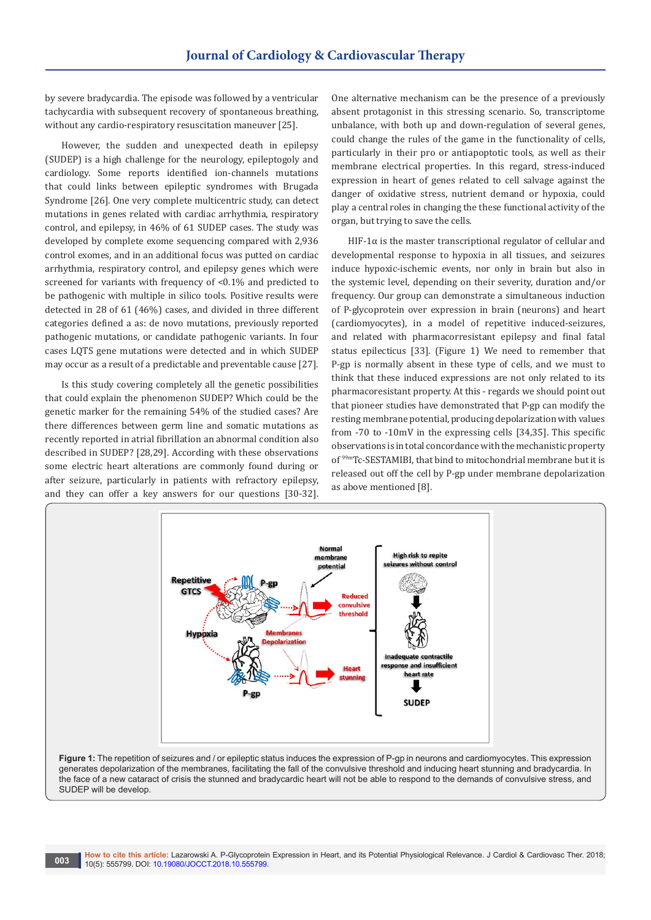by severe bradycardia. The episode was followed by a ventricular tachycardia with subsequent recovery of spontaneous breathing, without any cardio-respiratory resuscitation maneuver [25].

However, the sudden and unexpected death in epilepsy (SUDEP) is a high challenge for the neurology, epileptogoly and cardiology. Some reports identified ion-channels mutations that could links between epileptic syndromes with Brugada Syndrome [26]. One very complete multicentric study, can detect mutations in genes related with cardiac arrhythmia, respiratory control, and epilepsy, in 46% of 61 SUDEP cases. The study was developed by complete exome sequencing compared with 2,936 control exomes, and in an additional focus was putted on cardiac arrhythmia, respiratory control, and epilepsy genes which were screened for variants with frequency of <0.1% and predicted to be pathogenic with multiple in silico tools. Positive results were detected in 28 of 61 (46%) cases, and divided in three different categories defined a as: de novo mutations, previously reported pathogenic mutations, or candidate pathogenic variants. In four cases LQTS gene mutations were detected and in which SUDEP may occur as a result of a predictable and preventable cause [27].

Is this study covering completely all the genetic possibilities that could explain the phenomenon SUDEP? Which could be the genetic marker for the remaining 54% of the studied cases? Are there differences between germ line and somatic mutations as recently reported in atrial fibrillation an abnormal condition also described in SUDEP? [28,29]. According with these observations some electric heart alterations are commonly found during or after seizure, particularly in patients with refractory epilepsy, and they can offer a key answers for our questions [30-32].

One alternative mechanism can be the presence of a previously absent protagonist in this stressing scenario. So, transcriptome unbalance, with both up and down-regulation of several genes, could change the rules of the game in the functionality of cells, particularly in their pro or antiapoptotic tools, as well as their membrane electrical properties. In this regard, stress-induced expression in heart of genes related to cell salvage against the danger of oxidative stress, nutrient demand or hypoxia, could play a central roles in changing the these functional activity of the organ, but trying to save the cells.

HIF-1 $\alpha$  is the master transcriptional regulator of cellular and developmental response to hypoxia in all tissues, and seizures induce hypoxic-ischemic events, nor only in brain but also in the systemic level, depending on their severity, duration and/or frequency. Our group can demonstrate a simultaneous induction of P-glycoprotein over expression in brain (neurons) and heart (cardiomyocytes), in a model of repetitive induced-seizures, and related with pharmacorresistant epilepsy and final fatal status epilecticus [33]. (Figure 1) We need to remember that P-gp is normally absent in these type of cells, and we must to think that these induced expressions are not only related to its pharmacoresistant property. At this - regards we should point out that pioneer studies have demonstrated that P-gp can modify the resting membrane potential, producing depolarization with values from -70 to -10mV in the expressing cells [34,35]. This specific observations is in total concordance with the mechanistic property of 99mTc-SESTAMIBI, that bind to mitochondrial membrane but it is released out off the cell by P-gp under membrane depolarization as above mentioned [8].



Figure 1: The repetition of seizures and / or epileptic status induces the expression of P-gp in neurons and cardiomyocytes. This expression generates depolarization of the membranes, facilitating the fall of the convulsive threshold and inducing heart stunning and bradycardia. In the face of a new cataract of crisis the stunned and bradycardic heart will not be able to respond to the demands of convulsive stress, and SUDEP will be develop.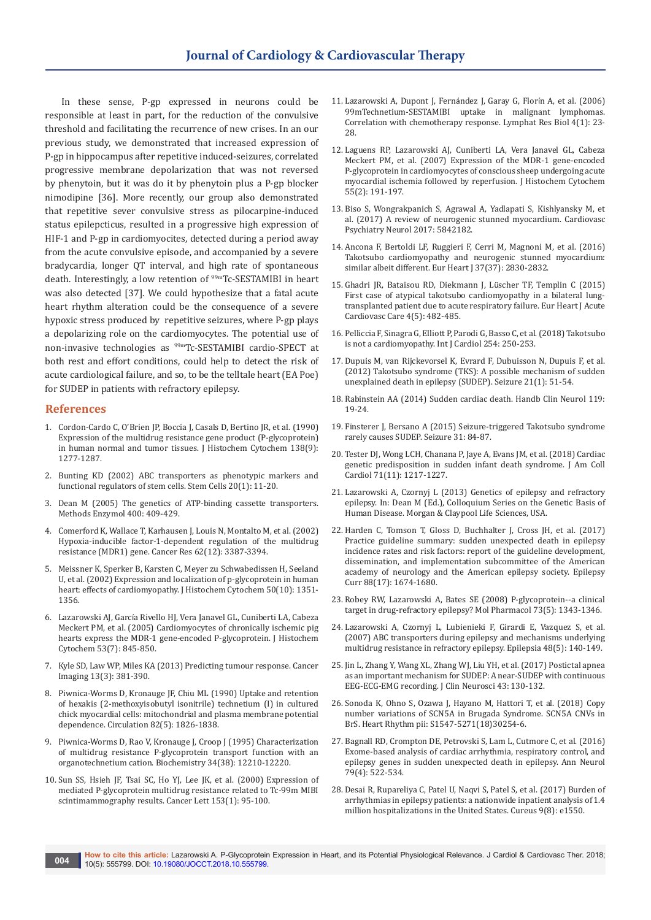In these sense, P-gp expressed in neurons could be responsible at least in part, for the reduction of the convulsive threshold and facilitating the recurrence of new crises. In an our previous study, we demonstrated that increased expression of P-gp in hippocampus after repetitive induced-seizures, correlated progressive membrane depolarization that was not reversed by phenytoin, but it was do it by phenytoin plus a P-gp blocker nimodipine [36]. More recently, our group also demonstrated that repetitive sever convulsive stress as pilocarpine-induced status epilepcticus, resulted in a progressive high expression of HIF-1 and P-gp in cardiomyocites, detected during a period away from the acute convulsive episode, and accompanied by a severe bradycardia, longer QT interval, and high rate of spontaneous death. Interestingly, a low retention of <sup>99m</sup>Tc-SESTAMIBI in heart was also detected [37]. We could hypothesize that a fatal acute heart rhythm alteration could be the consequence of a severe hypoxic stress produced by repetitive seizures, where P-gp plays a depolarizing role on the cardiomyocytes. The potential use of non-invasive technologies as 99mTc-SESTAMIBI cardio-SPECT at both rest and effort conditions, could help to detect the risk of acute cardiological failure, and so, to be the telltale heart (EA Poe) for SUDEP in patients with refractory epilepsy.

## **References**

- 1. [Cordon-Cardo C, O'Brien JP, Boccia J, Casals D, Bertino JR, et al. \(1990\)](https://www.ncbi.nlm.nih.gov/pubmed/1974900)  [Expression of the multidrug resistance gene product \(P-glycoprotein\)](https://www.ncbi.nlm.nih.gov/pubmed/1974900)  [in human normal and tumor tissues. J Histochem Cytochem 138\(9\):](https://www.ncbi.nlm.nih.gov/pubmed/1974900)  [1277-1287.](https://www.ncbi.nlm.nih.gov/pubmed/1974900)
- 2. [Bunting KD \(2002\) ABC transporters as phenotypic markers and](https://www.ncbi.nlm.nih.gov/pubmed/11796918)  [functional regulators of stem cells. Stem Cells 20\(1\): 11-20.](https://www.ncbi.nlm.nih.gov/pubmed/11796918)
- 3. [Dean M \(2005\) The genetics of ATP-binding cassette transporters.](https://www.ncbi.nlm.nih.gov/pubmed/16399363)  [Methods Enzymol 400: 409-429.](https://www.ncbi.nlm.nih.gov/pubmed/16399363)
- 4. [Comerford K, Wallace T, Karhausen J, Louis N, Montalto M, et al. \(2002\)](https://www.ncbi.nlm.nih.gov/pubmed/12067980)  [Hypoxia-inducible factor-1-dependent regulation of the multidrug](https://www.ncbi.nlm.nih.gov/pubmed/12067980)  [resistance \(MDR1\) gene. Cancer Res 62\(12\): 3387-3394.](https://www.ncbi.nlm.nih.gov/pubmed/12067980)
- 5. [Meissner K, Sperker B, Karsten C, Meyer zu Schwabedissen H, Seeland](https://www.ncbi.nlm.nih.gov/pubmed/12364568)  [U, et al. \(2002\) Expression and localization of p-glycoprotein in human](https://www.ncbi.nlm.nih.gov/pubmed/12364568)  [heart: effects of cardiomyopathy. J Histochem Cytochem 50\(10\): 1351-](https://www.ncbi.nlm.nih.gov/pubmed/12364568) [1356.](https://www.ncbi.nlm.nih.gov/pubmed/12364568)
- 6. Lazarowski AJ, Garcí[a Rivello HJ, Vera Janavel GL, Cuniberti LA, Cabeza](https://www.ncbi.nlm.nih.gov/pubmed/15995143)  [Meckert PM, et al. \(2005\) Cardiomyocytes of chronically ischemic pig](https://www.ncbi.nlm.nih.gov/pubmed/15995143)  [hearts express the MDR-1 gene-encoded P-glycoprotein. J Histochem](https://www.ncbi.nlm.nih.gov/pubmed/15995143)  [Cytochem 53\(7\): 845-850.](https://www.ncbi.nlm.nih.gov/pubmed/15995143)
- 7. [Kyle SD, Law WP, Miles KA \(2013\) Predicting tumour response. Cancer](https://www.ncbi.nlm.nih.gov/pubmed/24061161)  [Imaging 13\(3\): 381-390.](https://www.ncbi.nlm.nih.gov/pubmed/24061161)
- 8. [Piwnica-Worms D, Kronauge JF, Chiu ML \(1990\) Uptake and retention](https://www.ncbi.nlm.nih.gov/pubmed/2225379/)  [of hexakis \(2-methoxyisobutyl isonitrile\) technetium \(I\) in cultured](https://www.ncbi.nlm.nih.gov/pubmed/2225379/)  [chick myocardial cells: mitochondrial and plasma membrane potential](https://www.ncbi.nlm.nih.gov/pubmed/2225379/)  [dependence. Circulation 82\(5\): 1826-1838.](https://www.ncbi.nlm.nih.gov/pubmed/2225379/)
- 9. Piwnica-Worms D, Rao V, Kronauge J, Croop J (1995) Characterization [of multidrug resistance P-glycoprotein transport function with an](https://www.ncbi.nlm.nih.gov/pubmed/7547962)  [organotechnetium cation. Biochemistry 34\(38\): 12210-12220.](https://www.ncbi.nlm.nih.gov/pubmed/7547962)
- 10. [Sun SS, Hsieh JF, Tsai SC, Ho YJ, Lee JK, et al. \(2000\) Expression of](https://www.ncbi.nlm.nih.gov/pubmed/10779636)  [mediated P-glycoprotein multidrug resistance related to Tc-99m MIBI](https://www.ncbi.nlm.nih.gov/pubmed/10779636)  [scintimammography results. Cancer Lett 153\(1\): 95-100.](https://www.ncbi.nlm.nih.gov/pubmed/10779636)
- 11. [Lazarowski A, Dupont J, Fern](https://www.ncbi.nlm.nih.gov/pubmed/16569203)ández J, Garay G, Florín A, et al. (2006) [99mTechnetium-SESTAMIBI uptake in malignant lymphomas.](https://www.ncbi.nlm.nih.gov/pubmed/16569203)  [Correlation with chemotherapy response. Lymphat Res Biol 4\(1\): 23-](https://www.ncbi.nlm.nih.gov/pubmed/16569203) [28.](https://www.ncbi.nlm.nih.gov/pubmed/16569203)
- 12. [Laguens RP, Lazarowski AJ, Cuniberti LA, Vera Janavel GL, Cabeza](https://www.ncbi.nlm.nih.gov/pubmed/17101727)  [Meckert PM, et al. \(2007\) Expression of the MDR-1 gene-encoded](https://www.ncbi.nlm.nih.gov/pubmed/17101727)  [P-glycoprotein in cardiomyocytes of conscious sheep undergoing acute](https://www.ncbi.nlm.nih.gov/pubmed/17101727)  [myocardial ischemia followed by reperfusion. J Histochem Cytochem](https://www.ncbi.nlm.nih.gov/pubmed/17101727)  [55\(2\): 191-197.](https://www.ncbi.nlm.nih.gov/pubmed/17101727)
- 13. [Biso S, Wongrakpanich S, Agrawal A, Yadlapati S, Kishlyansky M, et](https://www.ncbi.nlm.nih.gov/m/pubmed/28875040/)  [al. \(2017\) A review of neurogenic stunned myocardium. Cardiovasc](https://www.ncbi.nlm.nih.gov/m/pubmed/28875040/)  [Psychiatry Neurol 2017: 5842182.](https://www.ncbi.nlm.nih.gov/m/pubmed/28875040/)
- 14. [Ancona F, Bertoldi LF, Ruggieri F, Cerri M, Magnoni M, et al. \(2016\)](https://www.ncbi.nlm.nih.gov/pubmed/26922810)  [Takotsubo cardiomyopathy and neurogenic stunned myocardium:](https://www.ncbi.nlm.nih.gov/pubmed/26922810)  [similar albeit different. Eur Heart J 37\(37\): 2830-2832.](https://www.ncbi.nlm.nih.gov/pubmed/26922810)
- 15. [Ghadri JR, Bataisou RD, Diekmann J, L](https://www.ncbi.nlm.nih.gov/pubmed/24627332)üscher TF, Templin C (2015) [First case of atypical takotsubo cardiomyopathy in a bilateral lung](https://www.ncbi.nlm.nih.gov/pubmed/24627332)[transplanted patient due to acute respiratory failure. Eur Heart J Acute](https://www.ncbi.nlm.nih.gov/pubmed/24627332)  [Cardiovasc Care 4\(5\): 482-485.](https://www.ncbi.nlm.nih.gov/pubmed/24627332)
- 16. [Pelliccia F, Sinagra G, Elliott P, Parodi G, Basso C, et al. \(2018\) Takotsubo](https://www.ncbi.nlm.nih.gov/pubmed/29242100)  [is not a cardiomyopathy. Int J Cardiol 254: 250-253.](https://www.ncbi.nlm.nih.gov/pubmed/29242100)
- 17. [Dupuis M, van Rijckevorsel K, Evrard F, Dubuisson N, Dupuis F, et al.](https://www.ncbi.nlm.nih.gov/pubmed/21996459)  [\(2012\) Takotsubo syndrome \(TKS\): A possible mechanism of sudden](https://www.ncbi.nlm.nih.gov/pubmed/21996459)  [unexplained death in epilepsy \(SUDEP\). Seizure 21\(1\): 51-54.](https://www.ncbi.nlm.nih.gov/pubmed/21996459)
- 18. [Rabinstein AA \(2014\) Sudden cardiac death. Handb Clin Neurol 119:](https://www.ncbi.nlm.nih.gov/pubmed/24365285)  [19-24.](https://www.ncbi.nlm.nih.gov/pubmed/24365285)
- 19. [Finsterer J, Bersano A \(2015\) Seizure-triggered Takotsubo syndrome](https://www.ncbi.nlm.nih.gov/pubmed/26362382)  [rarely causes SUDEP. Seizure 31: 84-87.](https://www.ncbi.nlm.nih.gov/pubmed/26362382)
- 20. [Tester DJ, Wong LCH, Chanana P, Jaye A, Evans JM, et al. \(2018\) Cardiac](https://www.ncbi.nlm.nih.gov/pubmed/29544605)  [genetic predisposition in sudden infant death syndrome. J Am Coll](https://www.ncbi.nlm.nih.gov/pubmed/29544605)  [Cardiol 71\(11\): 1217-1227.](https://www.ncbi.nlm.nih.gov/pubmed/29544605)
- 21. Lazarowski A, Czornyj L (2013) Genetics of epilepsy and refractory epilepsy. In: Dean M (Ed.), Colloquium Series on the Genetic Basis of Human Disease. Morgan & Claypool Life Sciences, USA.
- 22. [Harden C, Tomson T, Gloss D, Buchhalter J, Cross JH, et al. \(2017\)](https://www.ncbi.nlm.nih.gov/pubmed/28438841)  [Practice guideline summary: sudden unexpected death in epilepsy](https://www.ncbi.nlm.nih.gov/pubmed/28438841)  [incidence rates and risk factors: report of the guideline development,](https://www.ncbi.nlm.nih.gov/pubmed/28438841)  [dissemination, and implementation subcommittee of the American](https://www.ncbi.nlm.nih.gov/pubmed/28438841)  [academy of neurology and the American epilepsy society. Epilepsy](https://www.ncbi.nlm.nih.gov/pubmed/28438841)  [Curr 88\(17\): 1674-1680.](https://www.ncbi.nlm.nih.gov/pubmed/28438841)
- 23. [Robey RW, Lazarowski A, Bates SE \(2008\) P-glycoprotein--a clinical](https://www.ncbi.nlm.nih.gov/pubmed/18314494)  [target in drug-refractory epilepsy? Mol Pharmacol 73\(5\): 1343-1346.](https://www.ncbi.nlm.nih.gov/pubmed/18314494)
- 24. [Lazarowski A, Czornyj L, Lubienieki F, Girardi E, Vazquez S, et al.](https://www.ncbi.nlm.nih.gov/pubmed/17910594)  [\(2007\) ABC transporters during epilepsy and mechanisms underlying](https://www.ncbi.nlm.nih.gov/pubmed/17910594)  [multidrug resistance in refractory epilepsy. Epilepsia 48\(5\): 140-149.](https://www.ncbi.nlm.nih.gov/pubmed/17910594)
- 25. [Jin L, Zhang Y, Wang XL, Zhang WJ, Liu YH, et al. \(2017\) Postictal apnea](https://www.ncbi.nlm.nih.gov/pubmed/28576433)  [as an important mechanism for SUDEP: A near-SUDEP with continuous](https://www.ncbi.nlm.nih.gov/pubmed/28576433)  [EEG-ECG-EMG recording. J Clin Neurosci 43: 130-132.](https://www.ncbi.nlm.nih.gov/pubmed/28576433)
- 26. [Sonoda K, Ohno S, Ozawa J, Hayano M, Hattori T, et al. \(2018\) Copy](https://www.ncbi.nlm.nih.gov/pubmed/29574140)  [number variations of SCN5A in Brugada Syndrome. SCN5A CNVs in](https://www.ncbi.nlm.nih.gov/pubmed/29574140)  [BrS. Heart Rhythm pii: S1547-5271\(18\)30254-6.](https://www.ncbi.nlm.nih.gov/pubmed/29574140)
- 27. [Bagnall RD, Crompton DE, Petrovski S, Lam L, Cutmore C, et al. \(2016\)](https://www.ncbi.nlm.nih.gov/pubmed/26704558)  [Exome-based analysis of cardiac arrhythmia, respiratory control, and](https://www.ncbi.nlm.nih.gov/pubmed/26704558)  [epilepsy genes in sudden unexpected death in epilepsy. Ann Neurol](https://www.ncbi.nlm.nih.gov/pubmed/26704558)  [79\(4\): 522-534.](https://www.ncbi.nlm.nih.gov/pubmed/26704558)
- 28. [Desai R, Rupareliya C, Patel U, Naqvi S, Patel S, et al. \(2017\) Burden of](https://www.ncbi.nlm.nih.gov/pubmed/29018647)  [arrhythmias in epilepsy patients: a nationwide inpatient analysis of 1.4](https://www.ncbi.nlm.nih.gov/pubmed/29018647)  [million hospitalizations in the United States. Cureus 9\(8\): e1550.](https://www.ncbi.nlm.nih.gov/pubmed/29018647)